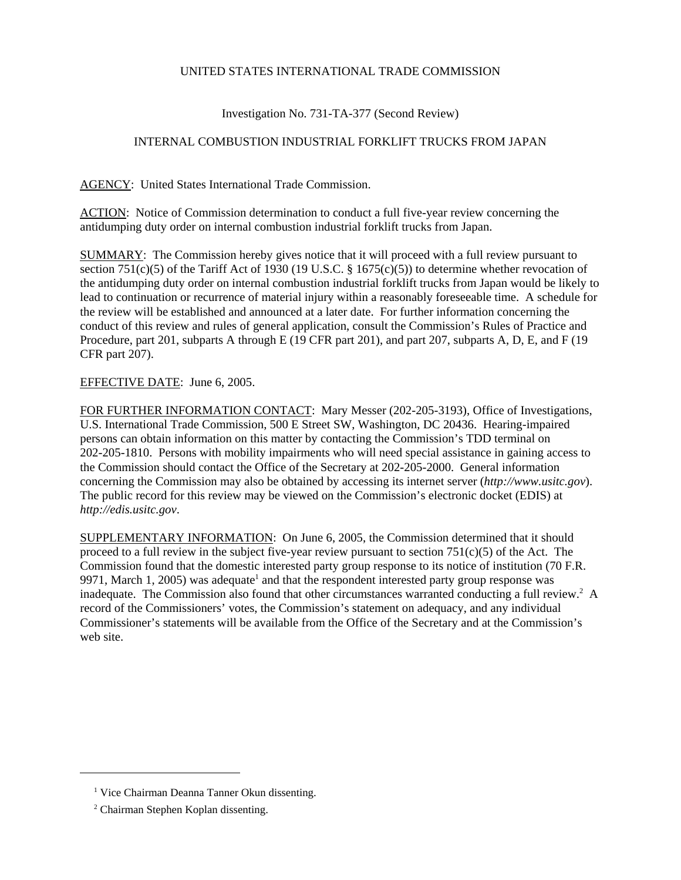## UNITED STATES INTERNATIONAL TRADE COMMISSION

## Investigation No. 731-TA-377 (Second Review)

## INTERNAL COMBUSTION INDUSTRIAL FORKLIFT TRUCKS FROM JAPAN

AGENCY: United States International Trade Commission.

ACTION: Notice of Commission determination to conduct a full five-year review concerning the antidumping duty order on internal combustion industrial forklift trucks from Japan.

SUMMARY: The Commission hereby gives notice that it will proceed with a full review pursuant to section 751(c)(5) of the Tariff Act of 1930 (19 U.S.C. § 1675(c)(5)) to determine whether revocation of the antidumping duty order on internal combustion industrial forklift trucks from Japan would be likely to lead to continuation or recurrence of material injury within a reasonably foreseeable time. A schedule for the review will be established and announced at a later date. For further information concerning the conduct of this review and rules of general application, consult the Commission's Rules of Practice and Procedure, part 201, subparts A through E (19 CFR part 201), and part 207, subparts A, D, E, and F (19 CFR part 207).

## EFFECTIVE DATE: June 6, 2005.

FOR FURTHER INFORMATION CONTACT: Mary Messer (202-205-3193), Office of Investigations, U.S. International Trade Commission, 500 E Street SW, Washington, DC 20436. Hearing-impaired persons can obtain information on this matter by contacting the Commission's TDD terminal on 202-205-1810. Persons with mobility impairments who will need special assistance in gaining access to the Commission should contact the Office of the Secretary at 202-205-2000. General information concerning the Commission may also be obtained by accessing its internet server (*http://www.usitc.gov*). The public record for this review may be viewed on the Commission's electronic docket (EDIS) at *http://edis.usitc.gov*.

SUPPLEMENTARY INFORMATION: On June 6, 2005, the Commission determined that it should proceed to a full review in the subject five-year review pursuant to section  $751(c)(5)$  of the Act. The Commission found that the domestic interested party group response to its notice of institution (70 F.R. 9971, March 1, 2005) was adequate<sup>1</sup> and that the respondent interested party group response was inadequate. The Commission also found that other circumstances warranted conducting a full review.<sup>2</sup> A record of the Commissioners' votes, the Commission's statement on adequacy, and any individual Commissioner's statements will be available from the Office of the Secretary and at the Commission's web site.

<sup>&</sup>lt;sup>1</sup> Vice Chairman Deanna Tanner Okun dissenting.

<sup>&</sup>lt;sup>2</sup> Chairman Stephen Koplan dissenting.